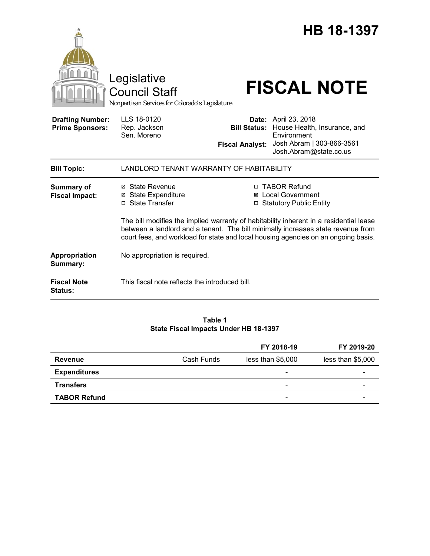|                                                   | Legislative<br><b>Council Staff</b><br>Nonpartisan Services for Colorado's Legislature                                                                                                                                                                           |                        | HB 18-1397<br><b>FISCAL NOTE</b>                                                                                                               |  |
|---------------------------------------------------|------------------------------------------------------------------------------------------------------------------------------------------------------------------------------------------------------------------------------------------------------------------|------------------------|------------------------------------------------------------------------------------------------------------------------------------------------|--|
| <b>Drafting Number:</b><br><b>Prime Sponsors:</b> | LLS 18-0120<br>Rep. Jackson<br>Sen. Moreno                                                                                                                                                                                                                       | <b>Fiscal Analyst:</b> | <b>Date:</b> April 23, 2018<br>Bill Status: House Health, Insurance, and<br>Environment<br>Josh Abram   303-866-3561<br>Josh.Abram@state.co.us |  |
| <b>Bill Topic:</b>                                | LANDLORD TENANT WARRANTY OF HABITABILITY                                                                                                                                                                                                                         |                        |                                                                                                                                                |  |
| <b>Summary of</b><br><b>Fiscal Impact:</b>        | ⊠ State Revenue<br><b>State Expenditure</b><br>⊠<br>□ State Transfer                                                                                                                                                                                             | □                      | □ TABOR Refund<br><b>Local Government</b><br><b>Statutory Public Entity</b>                                                                    |  |
|                                                   | The bill modifies the implied warranty of habitability inherent in a residential lease<br>between a landlord and a tenant. The bill minimally increases state revenue from<br>court fees, and workload for state and local housing agencies on an ongoing basis. |                        |                                                                                                                                                |  |
| Appropriation<br>Summary:                         | No appropriation is required.                                                                                                                                                                                                                                    |                        |                                                                                                                                                |  |
| <b>Fiscal Note</b><br><b>Status:</b>              | This fiscal note reflects the introduced bill.                                                                                                                                                                                                                   |                        |                                                                                                                                                |  |

# **Table 1 State Fiscal Impacts Under HB 18-1397**

|                     |            | FY 2018-19               | FY 2019-20        |
|---------------------|------------|--------------------------|-------------------|
| Revenue             | Cash Funds | less than \$5,000        | less than \$5,000 |
| <b>Expenditures</b> |            | $\overline{\phantom{0}}$ |                   |
| <b>Transfers</b>    |            | -                        |                   |
| <b>TABOR Refund</b> |            | -                        |                   |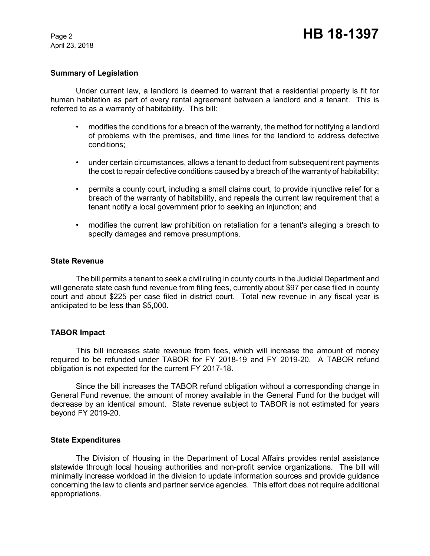April 23, 2018

# **Summary of Legislation**

Under current law, a landlord is deemed to warrant that a residential property is fit for human habitation as part of every rental agreement between a landlord and a tenant. This is referred to as a warranty of habitability. This bill:

- modifies the conditions for a breach of the warranty, the method for notifying a landlord of problems with the premises, and time lines for the landlord to address defective conditions;
- under certain circumstances, allows a tenant to deduct from subsequent rent payments the cost to repair defective conditions caused by a breach of the warranty of habitability;
- permits a county court, including a small claims court, to provide injunctive relief for a breach of the warranty of habitability, and repeals the current law requirement that a tenant notify a local government prior to seeking an injunction; and
- modifies the current law prohibition on retaliation for a tenant's alleging a breach to specify damages and remove presumptions.

### **State Revenue**

The bill permits a tenant to seek a civil ruling in county courts in the Judicial Department and will generate state cash fund revenue from filing fees, currently about \$97 per case filed in county court and about \$225 per case filed in district court. Total new revenue in any fiscal year is anticipated to be less than \$5,000.

# **TABOR Impact**

This bill increases state revenue from fees, which will increase the amount of money required to be refunded under TABOR for FY 2018-19 and FY 2019-20. A TABOR refund obligation is not expected for the current FY 2017-18.

Since the bill increases the TABOR refund obligation without a corresponding change in General Fund revenue, the amount of money available in the General Fund for the budget will decrease by an identical amount. State revenue subject to TABOR is not estimated for years beyond FY 2019-20.

### **State Expenditures**

The Division of Housing in the Department of Local Affairs provides rental assistance statewide through local housing authorities and non-profit service organizations. The bill will minimally increase workload in the division to update information sources and provide guidance concerning the law to clients and partner service agencies. This effort does not require additional appropriations.